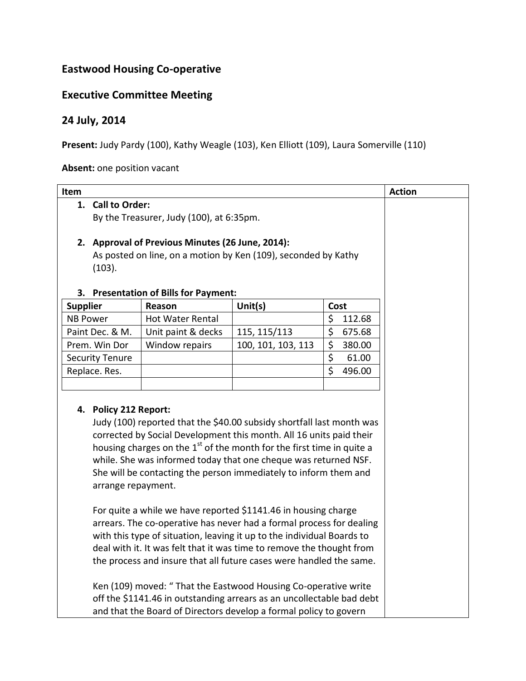## **Eastwood Housing Co-operative**

## **Executive Committee Meeting**

## **24 July, 2014**

Present: Judy Pardy (100), Kathy Weagle (103), Ken Elliott (109), Laura Somerville (110)

**Absent:** one position vacant

| Item            |                                                                                                                                                                                                                                                                                                                                                                                                                                                                                                                                                                                                                                                                                                                                                                                                                                                                                                                                                                                                        |                                           |                    |              | <b>Action</b> |  |
|-----------------|--------------------------------------------------------------------------------------------------------------------------------------------------------------------------------------------------------------------------------------------------------------------------------------------------------------------------------------------------------------------------------------------------------------------------------------------------------------------------------------------------------------------------------------------------------------------------------------------------------------------------------------------------------------------------------------------------------------------------------------------------------------------------------------------------------------------------------------------------------------------------------------------------------------------------------------------------------------------------------------------------------|-------------------------------------------|--------------------|--------------|---------------|--|
|                 | 1. Call to Order:                                                                                                                                                                                                                                                                                                                                                                                                                                                                                                                                                                                                                                                                                                                                                                                                                                                                                                                                                                                      |                                           |                    |              |               |  |
|                 | By the Treasurer, Judy (100), at 6:35pm.                                                                                                                                                                                                                                                                                                                                                                                                                                                                                                                                                                                                                                                                                                                                                                                                                                                                                                                                                               |                                           |                    |              |               |  |
|                 |                                                                                                                                                                                                                                                                                                                                                                                                                                                                                                                                                                                                                                                                                                                                                                                                                                                                                                                                                                                                        |                                           |                    |              |               |  |
|                 | 2. Approval of Previous Minutes (26 June, 2014):                                                                                                                                                                                                                                                                                                                                                                                                                                                                                                                                                                                                                                                                                                                                                                                                                                                                                                                                                       |                                           |                    |              |               |  |
|                 | As posted on line, on a motion by Ken (109), seconded by Kathy                                                                                                                                                                                                                                                                                                                                                                                                                                                                                                                                                                                                                                                                                                                                                                                                                                                                                                                                         |                                           |                    |              |               |  |
|                 | (103).                                                                                                                                                                                                                                                                                                                                                                                                                                                                                                                                                                                                                                                                                                                                                                                                                                                                                                                                                                                                 |                                           |                    |              |               |  |
|                 |                                                                                                                                                                                                                                                                                                                                                                                                                                                                                                                                                                                                                                                                                                                                                                                                                                                                                                                                                                                                        |                                           |                    |              |               |  |
| 3.              |                                                                                                                                                                                                                                                                                                                                                                                                                                                                                                                                                                                                                                                                                                                                                                                                                                                                                                                                                                                                        | <b>Presentation of Bills for Payment:</b> |                    |              |               |  |
| <b>Supplier</b> |                                                                                                                                                                                                                                                                                                                                                                                                                                                                                                                                                                                                                                                                                                                                                                                                                                                                                                                                                                                                        | Reason                                    | Unit(s)            | Cost         |               |  |
| <b>NB Power</b> |                                                                                                                                                                                                                                                                                                                                                                                                                                                                                                                                                                                                                                                                                                                                                                                                                                                                                                                                                                                                        | <b>Hot Water Rental</b>                   |                    | \$<br>112.68 |               |  |
|                 | Paint Dec. & M.                                                                                                                                                                                                                                                                                                                                                                                                                                                                                                                                                                                                                                                                                                                                                                                                                                                                                                                                                                                        | Unit paint & decks                        | 115, 115/113       | \$<br>675.68 |               |  |
|                 | Prem. Win Dor                                                                                                                                                                                                                                                                                                                                                                                                                                                                                                                                                                                                                                                                                                                                                                                                                                                                                                                                                                                          | Window repairs                            | 100, 101, 103, 113 | \$<br>380.00 |               |  |
|                 | <b>Security Tenure</b>                                                                                                                                                                                                                                                                                                                                                                                                                                                                                                                                                                                                                                                                                                                                                                                                                                                                                                                                                                                 |                                           |                    | \$<br>61.00  |               |  |
| Replace. Res.   |                                                                                                                                                                                                                                                                                                                                                                                                                                                                                                                                                                                                                                                                                                                                                                                                                                                                                                                                                                                                        |                                           |                    | \$<br>496.00 |               |  |
|                 |                                                                                                                                                                                                                                                                                                                                                                                                                                                                                                                                                                                                                                                                                                                                                                                                                                                                                                                                                                                                        |                                           |                    |              |               |  |
| 4.              | <b>Policy 212 Report:</b><br>Judy (100) reported that the \$40.00 subsidy shortfall last month was<br>corrected by Social Development this month. All 16 units paid their<br>housing charges on the $1st$ of the month for the first time in quite a<br>while. She was informed today that one cheque was returned NSF.<br>She will be contacting the person immediately to inform them and<br>arrange repayment.<br>For quite a while we have reported \$1141.46 in housing charge<br>arrears. The co-operative has never had a formal process for dealing<br>with this type of situation, leaving it up to the individual Boards to<br>deal with it. It was felt that it was time to remove the thought from<br>the process and insure that all future cases were handled the same.<br>Ken (109) moved: " That the Eastwood Housing Co-operative write<br>off the \$1141.46 in outstanding arrears as an uncollectable bad debt<br>and that the Board of Directors develop a formal policy to govern |                                           |                    |              |               |  |